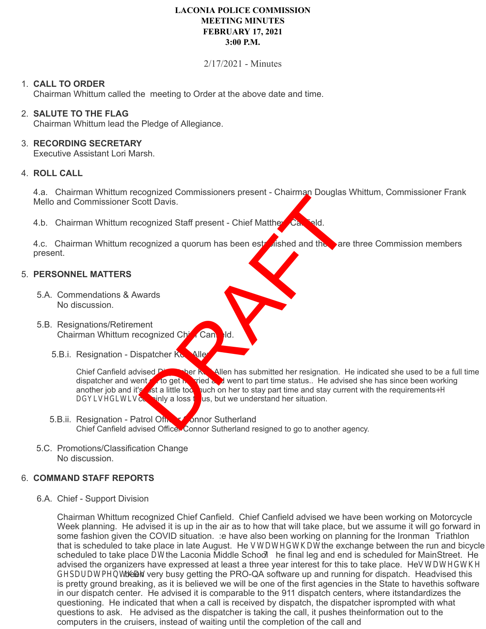# **LACONIA POLICE COMMISSION MEETING MINUTES FEBRUARY 17, 2021 3:00 P.M.**

## 2/17/2021 - Minutes

## 1. **CALL TO ORDER**

Chairman Whittum called the meeting to Order at the above date and time.

#### 2. **SALUTE TO THE FLAG**

Chairman Whittum lead the Pledge of Allegiance.

#### 3. **RECORDING SECRETARY**

Executive Assistant Lori Marsh.

#### 4. **ROLL CALL**

4.a. Chairman Whittum recognized Commissioners present - Chairman Douglas Whittum, Commissioner Frank Mello and Commissioner Scott Davis.

4.b. Chairman Whittum recognized Staff present - Chief Mattherw Cantield.

4.c. Chairman Whittum recognized a quorum has been established and there are three Commission members present.

#### 5. **PERSONNEL MATTERS**

- 5.A. Commendations & Awards No discussion.
- 5.B. Resignations/Retirement Chairman Whittum recognized Chief Can
	- 5.B.i. Resignation Dispatcher Korrallen

Chief Canfield advised Dispatcher and went to get be a full time dispatcher and went to get be a full time status. He advised she has since been working another job and it as little too puch on her to stay part time and st ried and went to part time status.. He advised she has since been working auch on her to stay part time and stay current with the requirements. He advised it is certain, a loss to us, but we understand her situation. Contrated Commissioners present - Chairman Douglas<br>
Contrated Staff present - Chief Matthe<br>
Contrated and the are<br>
cognized a quorum has been established and the are<br>
spaced a quorum has been established and the are<br>
space

- 5.B.ii. Resignation Patrol Officer Connor Sutherland Chief Canfield advised Officer Connor Sutherland resigned to go to another agency.
- 5.C. Promotions/Classification Change No discussion.

## 6. **COMMAND STAFF REPORTS**

6.A. Chief - Support Division

Chairman Whittum recognized Chief Canfield. Chief Canfield advised we have been working on Motorcycle Week planning. He advised it is up in the air as to how that will take place, but we assume it will go forward in some fashion given the COVID situation. We have also been working on planning for the Ironman Triathlon that is scheduled to take place in late August. He stated that the exchange between the run and bicycle is scheduled to take place at the Laconia Middle School. The final leg and end is scheduled for Main Street. He advised the organizers have expressed at least a three year interest for this to take place. He stated the deparatment has been very busy getting the PRO-QA software up and running for dispatch. He advised this is pretty ground breaking, as it is believed we will be one of the first agencies in the State to have this software in our dispatch center. He advised it is comparable to the 911 dispatch centers, where it standardizes the questioning. He indicated that when a call is received by dispatch, the dispatcher is prompted with what questions to ask. He advised as the dispatcher is taking the call, it pushes the information out to the computers in the cruisers, instead of waiting until the completion of the call and